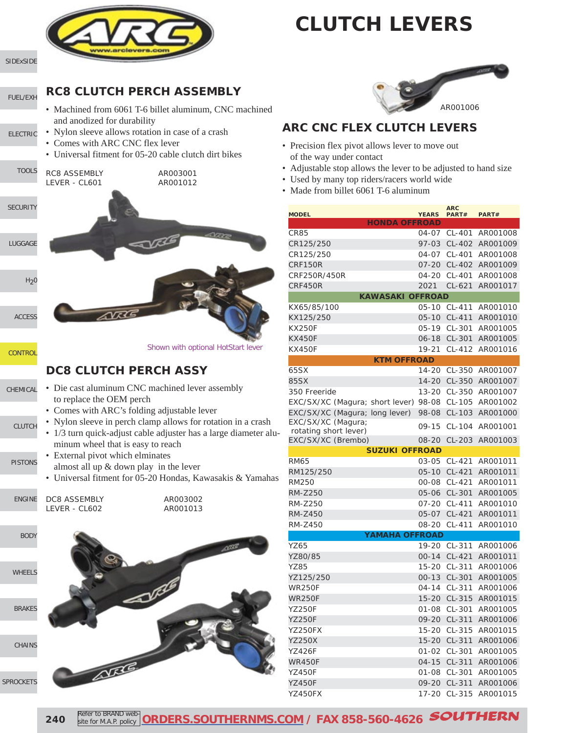



[SIDExSIDE](http://www.southernms.com/wp-content/uploads/2015/08/01_UTV.pdf)

[FUEL/EXH](http://www.southernms.com/wp-content/uploads/2015/08/02_fuel_exh.pdf)

- [ELECTRIC](http://www.southernms.com/wp-content/uploads/2015/08/03_electrical.pdf)
- 

E

- **RC8 CLUTCH PERCH ASSEMBLY**
	- Machined from 6061 T-6 billet aluminum, CNC machined and anodized for durability
- Nylon sleeve allows rotation in case of a crash
- Comes with ARC CNC flex lever
- Universal fitment for 05-20 cable clutch dirt bikes



#### **DC8 CLUTCH PERCH ASSY**

- [CHEMICAL](http://www.southernms.com/wp-content/uploads/2015/08/10_chemicals.pdf) • Die cast aluminum CNC machined lever assembly to replace the OEM perch
	- Comes with ARC's folding adjustable lever
	- [CLUTCH](http://www.southernms.com/wp-content/uploads/2015/08/11_clutch.pdf) • Nylon sleeve in perch clamp allows for rotation in a crash
		- 1/3 turn quick-adjust cable adjuster has a large diameter aluminum wheel that is easy to reach
- [PISTONS](http://www.southernms.com/wp-content/uploads/2015/08/12_pistons.pdf) • External pivot which elminates almost all up & down play in the lever
	- Universal fitment for 05-20 Hondas, Kawasakis & Yamahas

| NGINE | DC8 ASSEMBLY  | AR003002 |
|-------|---------------|----------|
|       | LEVER - CL602 | AR001013 |
|       |               |          |





#### **ARC CNC FLEX CLUTCH LEVERS**

- Precision flex pivot allows lever to move out of the way under contact
- Adjustable stop allows the lever to be adjusted to hand size
- Used by many top riders/racers world wide
- Made from billet 6061 T-6 aluminum

| <b>MODEL</b>                                |                         | <b>YEARS</b> | <b>ARC</b><br>PART# | PART#           |
|---------------------------------------------|-------------------------|--------------|---------------------|-----------------|
|                                             | <b>HONDA OFFROAD</b>    |              |                     |                 |
| CR85                                        |                         | 04-07        | CL-401              | AR001008        |
| CR125/250                                   |                         | 97-03        | CL-402              | AR001009        |
| CR125/250                                   |                         | $04 - 07$    | CL-401              | AR001008        |
| CRF150R                                     |                         | $07 - 20$    | CL-402              | AR001009        |
| CRF250R/450R                                |                         | 04-20        | CL-401              | AR001008        |
| CRF450R                                     |                         | 2021         | $CL-621$            | AR001017        |
|                                             | <b>KAWASAKI OFFROAD</b> |              |                     |                 |
| KX65/85/100                                 |                         | $05 - 10$    | CL-411              | AR001010        |
| KX125/250                                   |                         | $05 - 10$    | CL-411              | AR001010        |
| <b>KX250F</b>                               |                         | $05-19$      | CL-301              | AR001005        |
| <b>KX450F</b>                               |                         | 06-18        | CL-301              | AR001005        |
| KX450F                                      |                         | 19-21        | CL-412              | AR001016        |
|                                             | <b>KTM OFFROAD</b>      |              |                     |                 |
| 65SX                                        |                         | 14-20        | CL-350              | AR001007        |
| 85SX                                        |                         | 14-20        | CL-350              | AR001007        |
| 350 Freeride                                |                         | $13 - 20$    |                     | CL-350 AR001007 |
| EXC/SX/XC (Magura; short lever)             |                         | 98-08        | CL-105              | AR001002        |
| EXC/SX/XC (Magura; long lever)              |                         | 98-08        | CL-103              | AR001000        |
| EXC/SX/XC (Magura;                          |                         | $09 - 15$    | $CL-104$            | AR001001        |
| rotating short lever)<br>EXC/SX/XC (Brembo) |                         | 08-20        | CL-203              | AR001003        |
|                                             | <b>SUZUKI OFFROAD</b>   |              |                     |                 |
| <b>RM65</b>                                 |                         | 03-05        | CL-421              | AR001011        |
| RM125/250                                   |                         | $05 - 10$    | CL-421              | AR001011        |
| RM250                                       |                         | 00-08        | CL-421              | AR001011        |
| <b>RM-Z250</b>                              |                         | 05-06        | CL-301              | AR001005        |
| RM-Z250                                     |                         | $07 - 20$    | CL-411              | AR001010        |
| RM-Z450                                     |                         | 05-07        | CL-421              | AR001011        |
| RM-Z450                                     |                         | 08-20        | CL-411              | AR001010        |
|                                             | <b>YAMAHA OFFROAD</b>   |              |                     |                 |
| YZ65                                        |                         | $19 - 20$    | CL-311              | AR001006        |
| YZ80/85                                     |                         | $00 - 14$    | CL-421              | AR001011        |
| YZ85                                        |                         | $15 - 20$    | CL-311              | AR001006        |
| YZ125/250                                   |                         | $00 - 13$    | CL-301              | AR001005        |
| WR250F                                      |                         | 04-14        | $CL-311$            | AR001006        |
| WR250F                                      |                         | $15 - 20$    | CL-315              | AR001015        |
| <b>YZ250F</b>                               |                         | $01 - 08$    | CL-301              | AR001005        |
| YZ250F                                      |                         |              | 09-20 CL-311        | AR001006        |
| YZ250FX                                     |                         | $15 - 20$    | CL-315              | AR001015        |
| <b>YZ250X</b>                               |                         | $15 - 20$    | CL-311              | AR001006        |
| YZ426F                                      |                         | $01 - 02$    | CL-301              | AR001005        |
| <b>WR450F</b>                               |                         | $04 - 15$    | CL-311              | AR001006        |
| YZ450F                                      |                         | $01 - 08$    | CL-301              | AR001005        |
| YZ450F                                      |                         | $09 - 20$    | CL-311              | AR001006        |
| YZ450FX                                     |                         | 17-20        | CL-315              | AR001015        |
|                                             |                         |              |                     |                 |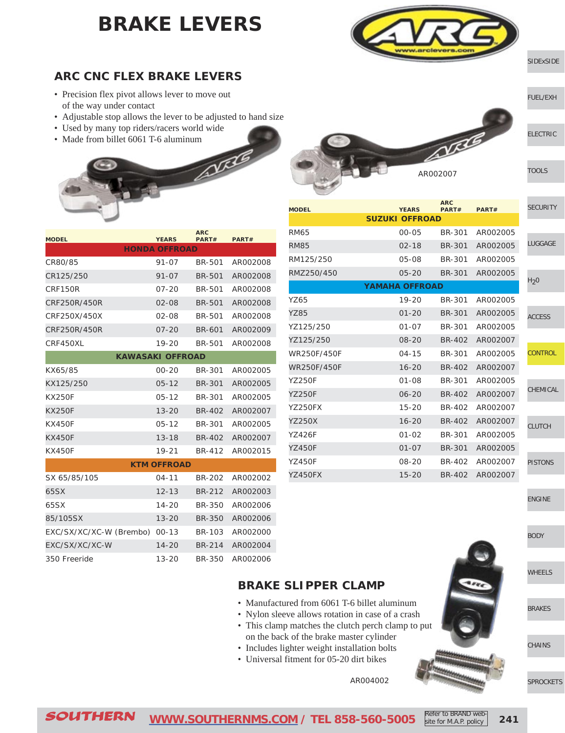### **BRAKE LEVERS**



AR002007

#### [SIDExSIDE](http://www.southernms.com/wp-content/uploads/2015/08/01_UTV.pdf)

[ELECTRIC](http://www.southernms.com/wp-content/uploads/2015/08/03_electrical.pdf)

[TOOLS](http://www.southernms.com/wp-content/uploads/2015/08/04_tools.pdf)

[FUEL/EXH](http://www.southernms.com/wp-content/uploads/2015/08/02_fuel_exh.pdf)

#### **ARC CNC FLEX BRAKE LEVERS**

- Precision flex pivot allows lever to move out of the way under contact
- Adjustable stop allows the lever to be adjusted to hand size
- Used by many top riders/racers world wide
- Made from billet 6061 T-6 aluminum



| <b>MODEL</b>            | <b>YEARS</b>            | <b>ARC</b><br>PART# | PART#    |
|-------------------------|-------------------------|---------------------|----------|
|                         | <b>HONDA OFFROAD</b>    |                     |          |
| CR80/85                 | $91 - 07$               | <b>BR-501</b>       | AR002008 |
| CR125/250               | $91 - 07$               | <b>BR-501</b>       | AR002008 |
| <b>CRF150R</b>          | $07 - 20$               | <b>BR-501</b>       | AR002008 |
| CRF250R/450R            | $02 - 08$               | <b>BR-501</b>       | AR002008 |
| CRF250X/450X            | 02-08                   | BR-501              | AR002008 |
| CRF250R/450R            | $07 - 20$               | BR-601              | AR002009 |
| CRF450XL                | 19-20                   | BR-501              | AR002008 |
|                         | <b>KAWASAKI OFFROAD</b> |                     |          |
| KX65/85                 | $00 - 20$               | BR-301              | AR002005 |
| KX125/250               | $05 - 12$               | BR-301              | AR002005 |
| <b>KX250F</b>           | $05 - 12$               | <b>BR-301</b>       | AR002005 |
| <b>KX250F</b>           | $13 - 20$               | BR-402              | AR002007 |
| <b>KX450F</b>           | 05-12                   | <b>BR-301</b>       | AR002005 |
| <b>KX450F</b>           | $13 - 18$               | BR-402              | AR002007 |
| KX450F                  | 19-21                   | BR-412              | AR002015 |
|                         | <b>KTM OFFROAD</b>      |                     |          |
| SX 65/85/105            | $04 - 11$               | BR-202              | AR002002 |
| 65SX                    | $12 - 13$               | <b>BR-212</b>       | AR002003 |
| 65SX                    | 14-20                   | <b>BR-350</b>       | AR002006 |
| 85/105SX                | $13 - 20$               | <b>BR-350</b>       | AR002006 |
| EXC/SX/XC/XC-W (Brembo) | $00 - 13$               | BR-103              | AR002000 |
| EXC/SX/XC/XC-W          | $14 - 20$               | BR-214              | AR002004 |
| 350 Freeride            | $13 - 20$               | <b>BR-350</b>       | AR002006 |

| <b>MODEL</b>  | <b>YEARS</b>          | <b>ARC</b><br>PART# | PART#    | <b>SECURITY</b>  |
|---------------|-----------------------|---------------------|----------|------------------|
|               | <b>SUZUKI OFFROAD</b> |                     |          |                  |
| <b>RM65</b>   | $00 - 05$             | BR-301              | AR002005 |                  |
| <b>RM85</b>   | $02 - 18$             | <b>BR-301</b>       | AR002005 | <b>LUGGAGE</b>   |
| RM125/250     | $05 - 08$             | BR-301              | AR002005 |                  |
| RMZ250/450    | $05 - 20$             | BR-301              | AR002005 |                  |
|               | <b>YAMAHA OFFROAD</b> |                     |          | H <sub>2</sub> 0 |
| YZ65          | $19 - 20$             | BR-301              | AR002005 |                  |
| <b>YZ85</b>   | $01 - 20$             | <b>BR-301</b>       | AR002005 | <b>ACCESS</b>    |
| YZ125/250     | $01 - 07$             | <b>BR-301</b>       | AR002005 |                  |
| YZ125/250     | $08 - 20$             | BR-402              | AR002007 |                  |
| WR250F/450F   | $04 - 15$             | BR-301              | AR002005 | <b>CONTROL</b>   |
| WR250F/450F   | $16 - 20$             | <b>BR-402</b>       | AR002007 |                  |
| <b>YZ250F</b> | $01 - 08$             | <b>BR-301</b>       | AR002005 |                  |
| <b>YZ250F</b> | $06 - 20$             | BR-402              | AR002007 | CHEMICAL         |
| YZ250FX       | $15 - 20$             | BR-402              | AR002007 |                  |
| <b>YZ250X</b> | $16 - 20$             | <b>BR-402</b>       | AR002007 | <b>CLUTCH</b>    |
| YZ426F        | $01 - 02$             | <b>BR-301</b>       | AR002005 |                  |
| <b>YZ450F</b> | $01 - 07$             | <b>BR-301</b>       | AR002005 |                  |
| YZ450F        | 08-20                 | BR-402              | AR002007 | <b>PISTONS</b>   |

YZ450FX 15-20 BR-402 AR002007

[ENGINE](http://www.southernms.com/wp-content/uploads/2015/08/13_engine.pdf)

[BODY](http://www.southernms.com/wp-content/uploads/2015/08/14_body.pdf)

[WHEELS](http://www.southernms.com/wp-content/uploads/2015/08/15_wheel.pdf)

[BRAKES](http://www.southernms.com/wp-content/uploads/2015/08/16_brakes.pdf)

**[CHAINS](http://www.southernms.com/wp-content/uploads/2015/08/17_chains.pdf)** 

[SPROCKETS](http://www.southernms.com/wp-content/uploads/2015/08/18_sprockets.pdf)

#### **BRAKE SLIPPER CLAMP**

- Manufactured from 6061 T-6 billet aluminum
- Nylon sleeve allows rotation in case of a crash
- This clamp matches the clutch perch clamp to put on the back of the brake master cylinder
- Includes lighter weight installation bolts
- Universal fitment for 05-20 dirt bikes

AR004002

SOUTHERN **[WWW.SOUTHERNMS.COM](http://m.southernms.com) / TEL 858-560-5005 241** Refer to BRAND website for M.A.P. policy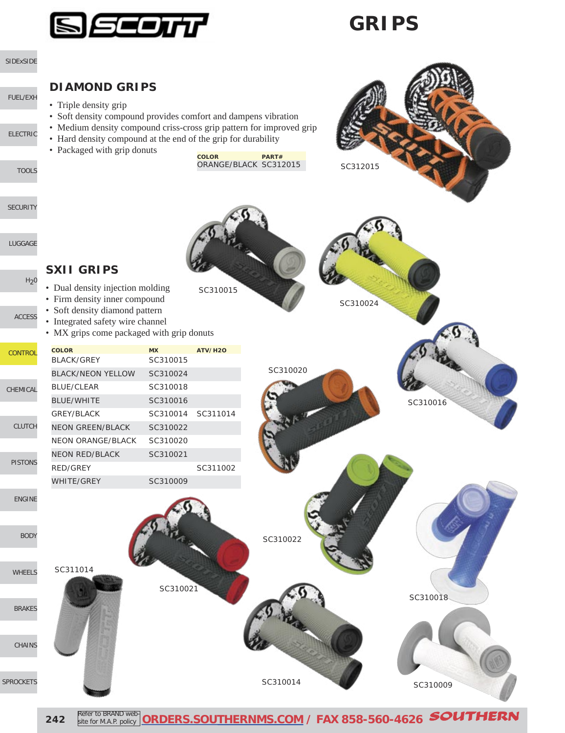

### **GRIPS**



**242** Refer to BRAND web **[ORDERS.SOUTHERNMS.COM](http://orders.southernms.com) / FAX 858-560-4626** SOUTHERN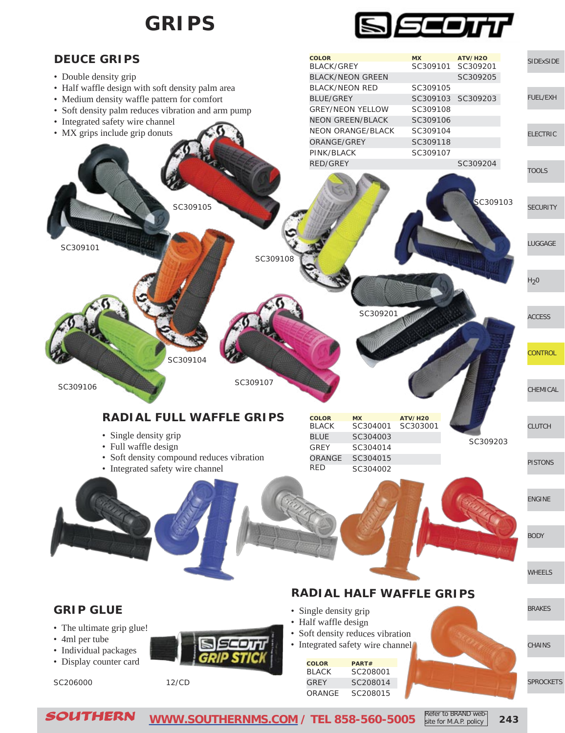

site for M.A.P. policy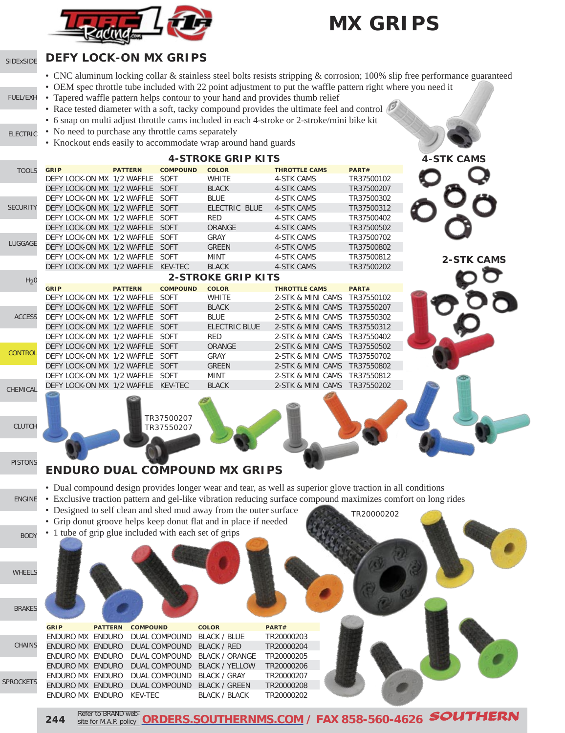

### **MX GRIPS**

#### **DEFY LOCK-ON MX GRIPS** [SIDExSIDE](http://www.southernms.com/wp-content/uploads/2015/08/01_UTV.pdf)

- CNC aluminum locking collar & stainless steel bolts resists stripping & corrosion; 100% slip free performance guaranteed
- OEM spec throttle tube included with 22 point adjustment to put the waffle pattern right where you need it
- Tapered waffle pattern helps contour to your hand and provides thumb relief [FUEL/EXH](http://www.southernms.com/wp-content/uploads/2015/08/02_fuel_exh.pdf)
	- Race tested diameter with a soft, tacky compound provides the ultimate feel and control
	- 6 snap on multi adjust throttle cams included in each 4-stroke or 2-stroke/mini bike kit
- No need to purchase any throttle cams separately [ELECTRIC](http://www.southernms.com/wp-content/uploads/2015/08/03_electrical.pdf)
	- Knockout ends easily to accommodate wrap around hand guards

|                  |                                    |                |                          | <b>4-STROKE GRIP KITS</b> |                      |            |
|------------------|------------------------------------|----------------|--------------------------|---------------------------|----------------------|------------|
| <b>TOOLS</b>     | <b>GRIP</b>                        | <b>PATTERN</b> | <b>COMPOUND</b>          | <b>COLOR</b>              | <b>THROTTLE CAMS</b> | PART#      |
|                  | DEFY LOCK-ON MX 1/2 WAFFLE         |                | SOFT                     | <b>WHITE</b>              | <b>4-STK CAMS</b>    | TR37500102 |
|                  | DEFY LOCK-ON MX 1/2 WAFFLE         |                | SOFT                     | <b>BLACK</b>              | <b>4-STK CAMS</b>    | TR37500207 |
|                  | DEFY LOCK-ON MX 1/2 WAFFLE         |                | SOFT                     | <b>BLUE</b>               | <b>4-STK CAMS</b>    | TR37500302 |
| <b>SECURITY</b>  | DEFY LOCK-ON MX 1/2 WAFFLE SOFT    |                |                          | ELECTRIC BLUE             | <b>4-STK CAMS</b>    | TR37500312 |
|                  | DEFY LOCK-ON MX 1/2 WAFFLE         |                | <b>SOFT</b>              | <b>RED</b>                | <b>4-STK CAMS</b>    | TR37500402 |
|                  | DEFY LOCK-ON MX 1/2 WAFFLE         |                | SOFT                     | <b>ORANGE</b>             | <b>4-STK CAMS</b>    | TR37500502 |
|                  | DEFY LOCK-ON MX 1/2 WAFFLE         |                | <b>SOFT</b>              | GRAY                      | <b>4-STK CAMS</b>    | TR37500702 |
| LUGGAGE          | DEFY LOCK-ON MX 1/2 WAFFLE SOFT    |                |                          | <b>GREEN</b>              | <b>4-STK CAMS</b>    | TR37500802 |
|                  | DEFY LOCK-ON MX 1/2 WAFFLE SOFT    |                |                          | <b>MINT</b>               | <b>4-STK CAMS</b>    | TR37500812 |
|                  | DEFY LOCK-ON MX 1/2 WAFFLE KEV-TEC |                |                          | <b>BLACK</b>              | <b>4-STK CAMS</b>    | TR37500202 |
| H <sub>2</sub> 0 |                                    |                |                          | <b>2-STROKE GRIP KITS</b> |                      |            |
|                  | <b>GRIP</b>                        | <b>PATTERN</b> | <b>COMPOUND</b>          | <b>COLOR</b>              | <b>THROTTLE CAMS</b> | PART#      |
|                  | DEFY LOCK-ON MX 1/2 WAFFLE         |                | SOFT                     | <b>WHITE</b>              | 2-STK & MINI CAMS    | TR37550102 |
|                  | DEFY LOCK-ON MX 1/2 WAFFLE SOFT    |                |                          | <b>BLACK</b>              | 2-STK & MINI CAMS    | TR37550207 |
| <b>ACCESS</b>    | DEFY LOCK-ON MX 1/2 WAFFLE         |                | SOFT                     | <b>BLUE</b>               | 2-STK & MINI CAMS    | TR37550302 |
|                  | DEFY LOCK-ON MX 1/2 WAFFLE SOFT    |                |                          | <b>ELECTRIC BLUE</b>      | 2-STK & MINI CAMS    | TR37550312 |
|                  | DEFY LOCK-ON MX 1/2 WAFFLE         |                | SOFT                     | <b>RED</b>                | 2-STK & MINI CAMS    | TR37550402 |
|                  | DEFY LOCK-ON MX 1/2 WAFFLE         |                | <b>SOFT</b>              | <b>ORANGE</b>             | 2-STK & MINI CAMS    | TR37550502 |
| <b>CONTROL</b>   | DEFY LOCK-ON MX 1/2 WAFFLE         |                | SOFT                     | GRAY                      | 2-STK & MINI CAMS    | TR37550702 |
|                  | DEFY LOCK-ON MX 1/2 WAFFLE         |                | SOFT                     | <b>GREEN</b>              | 2-STK & MINI CAMS    | TR37550802 |
|                  | DEFY LOCK-ON MX 1/2 WAFFLE         |                | SOFT                     | <b>MINT</b>               | 2-STK & MINI CAMS    | TR37550812 |
| CHEMICAL         | DEFY LOCK-ON MX 1/2 WAFFLE KEV-TEC |                |                          | <b>BLACK</b>              | 2-STK & MINI CAMS    | TR37550202 |
| <b>CLUTCH</b>    |                                    |                | TR37500207<br>TR37550207 |                           |                      |            |



**244** Refer to BRAND web Refer to BRAND web-**RDERS.SOUTHERNMS.COM / FAX 858-560-4626 SOUTHERN**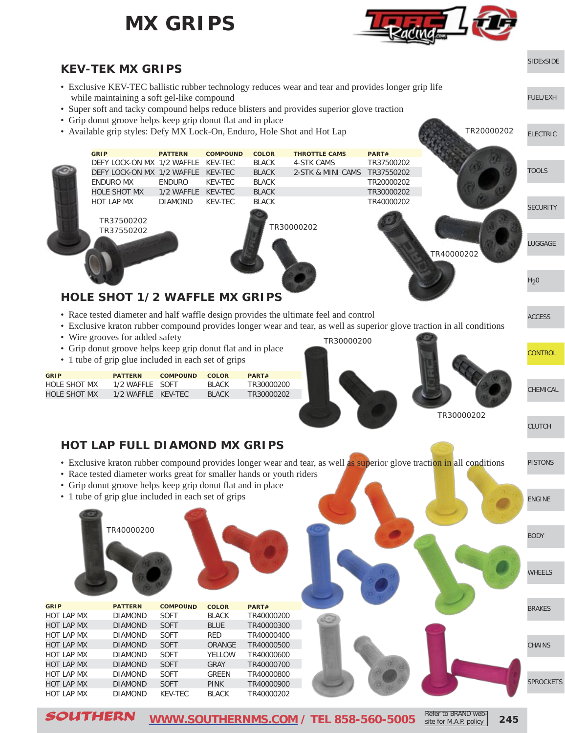### **MX GRIPS**





- Exclusive KEV-TEC ballistic rubber technology reduces wear and tear and provides longer grip life while maintaining a soft gel-like compound
- Super soft and tacky compound helps reduce blisters and provides superior glove traction
- Grip donut groove helps keep grip donut flat and in place
- Available grip styles: Defy MX Lock-On, Enduro, Hole Shot and Hot Lap



#### **HOLE SHOT 1/2 WAFFLE MX GRIPS**

- Race tested diameter and half waffle design provides the ultimate feel and control
- Exclusive kraton rubber compound provides longer wear and tear, as well as superior glove traction in all conditions
- Wire grooves for added safety
- Grip donut groove helps keep grip donut flat and in place
- 1 tube of grip glue included in each set of grips

| <b>GRIP</b>         | <b>PATTERN</b>     | <b>COMPOUND</b> | COLOR  | PART#      |
|---------------------|--------------------|-----------------|--------|------------|
| <b>HOLE SHOT MX</b> | 1/2 WAFFLE SOFT    |                 | BI ACK | TR30000200 |
| HOLE SHOT MX        | 1/2 WAFFLE KEV-TEC |                 | BI ACK | TR30000202 |

# TR30000202 TR30000200

[CLUTCH](http://www.southernms.com/wp-content/uploads/2015/08/11_clutch.pdf)

[PISTONS](http://www.southernms.com/wp-content/uploads/2015/08/12_pistons.pdf)

[ENGINE](http://www.southernms.com/wp-content/uploads/2015/08/13_engine.pdf)

[BODY](http://www.southernms.com/wp-content/uploads/2015/08/14_body.pdf)

[WHEELS](http://www.southernms.com/wp-content/uploads/2015/08/15_wheel.pdf)

[SPROCKETS](http://www.southernms.com/wp-content/uploads/2015/08/18_sprockets.pdf)

[CHAINS](http://www.southernms.com/wp-content/uploads/2015/08/17_chains.pdf)

[BRAKES](http://www.southernms.com/wp-content/uploads/2015/08/16_brakes.pdf)

**[CONTROL](http://www.southernms.com/wp-content/uploads/2015/08/09_controls.pdf)** 

[CHEMICAL](http://www.southernms.com/wp-content/uploads/2015/08/10_chemicals.pdf)

[ACCESS](http://www.southernms.com/wp-content/uploads/2015/08/08_accessories.pdf)

[SIDExSIDE](http://www.southernms.com/wp-content/uploads/2015/08/01_UTV.pdf)

[ELECTRIC](http://www.southernms.com/wp-content/uploads/2015/08/03_electrical.pdf)

TR20000202

[FUEL/EXH](http://www.southernms.com/wp-content/uploads/2015/08/02_fuel_exh.pdf)

#### **HOT LAP FULL DIAMOND MX GRIPS**

- Exclusive kraton rubber compound provides longer wear and tear, as well as superior glove traction in all conditions
- Race tested diameter works great for smaller hands or youth riders
- Grip donut groove helps keep grip donut flat and in place
- 1 tube of grip glue included in each set of grips

|                   | TR40000200     |                 |               |            |  |
|-------------------|----------------|-----------------|---------------|------------|--|
| <b>GRIP</b>       | <b>PATTERN</b> | <b>COMPOUND</b> | <b>COLOR</b>  | PART#      |  |
| <b>HOT LAP MX</b> | <b>DIAMOND</b> | <b>SOFT</b>     | <b>BLACK</b>  | TR40000200 |  |
| <b>HOT LAP MX</b> | <b>DIAMOND</b> | <b>SOFT</b>     | <b>BLUE</b>   | TR40000300 |  |
| HOT LAP MX        | <b>DIAMOND</b> | <b>SOFT</b>     | <b>RED</b>    | TR40000400 |  |
| HOT LAP MX        | <b>DIAMOND</b> | <b>SOFT</b>     | <b>ORANGE</b> | TR40000500 |  |
| <b>HOT LAP MX</b> | <b>DIAMOND</b> | <b>SOFT</b>     | <b>YELLOW</b> | TR40000600 |  |
| <b>HOT LAP MX</b> | <b>DIAMOND</b> | <b>SOFT</b>     | <b>GRAY</b>   | TR40000700 |  |
| <b>HOT LAP MX</b> | <b>DIAMOND</b> | <b>SOFT</b>     | <b>GREEN</b>  | TR40000800 |  |
| <b>HOT LAP MX</b> | <b>DIAMOND</b> | <b>SOFT</b>     | <b>PINK</b>   | TR40000900 |  |
| <b>HOT LAP MX</b> | <b>DIAMOND</b> | KEV-TEC         | <b>BLACK</b>  | TR40000202 |  |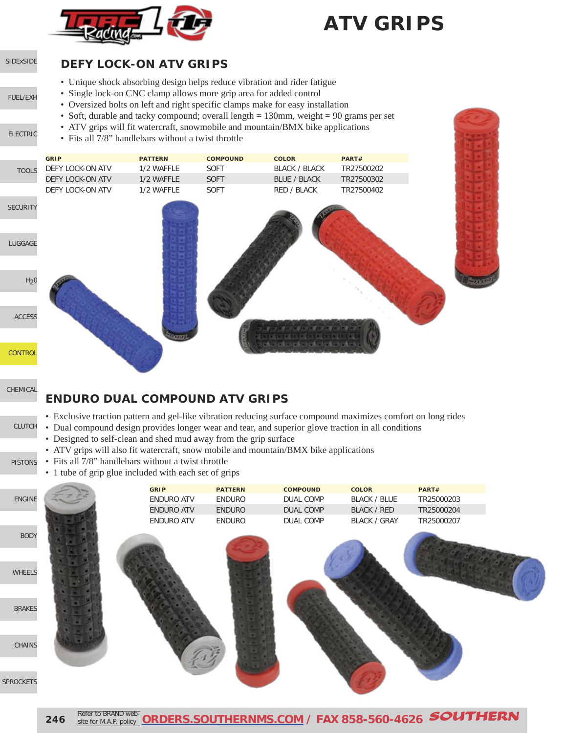

### **ATV GRIPS**

#### [SIDExSIDE](http://www.southernms.com/wp-content/uploads/2015/08/01_UTV.pdf)

[ELECTRIC](http://www.southernms.com/wp-content/uploads/2015/08/03_electrical.pdf)

 $L$ 

SE

[FUEL/EXH](http://www.southernms.com/wp-content/uploads/2015/08/02_fuel_exh.pdf)

#### **DEFY LOCK-ON ATV GRIPS**

- Unique shock absorbing design helps reduce vibration and rider fatigue
- Single lock-on CNC clamp allows more grip area for added control
- Oversized bolts on left and right specific clamps make for easy installation
- Soft, durable and tacky compound; overall length = 130mm, weight = 90 grams per set
	- ATV grips will fit watercraft, snowmobile and mountain/BMX bike applications
	- Fits all 7/8" handlebars without a twist throttle

|                  | <b>GRIP</b>      | <b>PATTERN</b> | <b>COMPOUND</b> | <b>COLOR</b>         | PART#      |
|------------------|------------------|----------------|-----------------|----------------------|------------|
| <b>TOOLS</b>     | DEFY LOCK-ON ATV | 1/2 WAFFLE     | SOFT            | <b>BLACK / BLACK</b> | TR27500202 |
|                  | DEFY LOCK-ON ATV | 1/2 WAFFLE     | <b>SOFT</b>     | <b>BLUE / BLACK</b>  | TR27500302 |
|                  | DEFY LOCK-ON ATV | 1/2 WAFFLE     | SOFT            | RED / BLACK          | TR27500402 |
| <b>CURITY</b>    |                  |                |                 |                      |            |
| <b>JGGAGE</b>    |                  |                |                 |                      |            |
| H <sub>2</sub> 0 |                  |                |                 |                      |            |
| <b>ACCESS</b>    |                  |                |                 |                      |            |
| <b>ONTROL</b>    |                  | <u>inaan</u>   |                 |                      |            |

[CHEMICAL](http://www.southernms.com/wp-content/uploads/2015/08/10_chemicals.pdf)

C<sub>C</sub>

#### **ENDURO DUAL COMPOUND ATV GRIPS**

- Exclusive traction pattern and gel-like vibration reducing surface compound maximizes comfort on long rides
- [CLUTCH](http://www.southernms.com/wp-content/uploads/2015/08/11_clutch.pdf) • Dual compound design provides longer wear and tear, and superior glove traction in all conditions
	- Designed to self-clean and shed mud away from the grip surface
	- ATV grips will also fit watercraft, snow mobile and mountain/BMX bike applications
- [PISTONS](http://www.southernms.com/wp-content/uploads/2015/08/12_pistons.pdf) • Fits all 7/8" handlebars without a twist throttle
	- 1 tube of grip glue included with each set of grips

|                         | <b>GRIP</b>       | <b>PATTERN</b> | <b>COMPOUND</b> | <b>COLOR</b>        | PART#      |
|-------------------------|-------------------|----------------|-----------------|---------------------|------------|
| ENGINE                  | <b>ENDURO ATV</b> | ENDURO         | DUAL COMP       | <b>BLACK / BLUE</b> | TR25000203 |
|                         | <b>ENDURO ATV</b> | <b>ENDURO</b>  | DUAL COMP       | <b>BLACK / RED</b>  | TR25000204 |
|                         | ENDURO ATV        | ENDURO         | DUAL COMP       | <b>BLACK / GRAY</b> | TR25000207 |
| <b>BODY</b>             |                   |                |                 |                     |            |
| WHEELS                  |                   |                |                 |                     |            |
| <b>BRAKES</b><br>CHAINS |                   |                |                 |                     |            |
|                         |                   |                |                 |                     |            |

SPR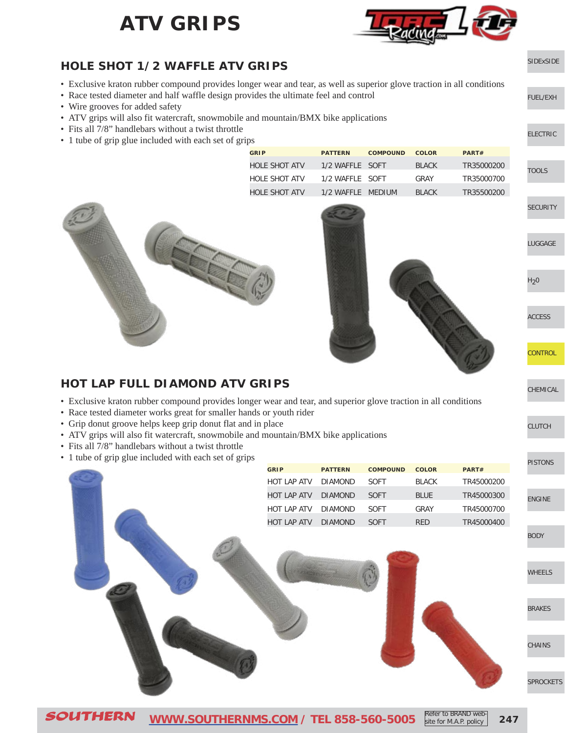### **ATV GRIPS**



[SIDExSIDE](http://www.southernms.com/wp-content/uploads/2015/08/01_UTV.pdf)

[ELECTRIC](http://www.southernms.com/wp-content/uploads/2015/08/03_electrical.pdf)

[LUGGAGE](http://www.southernms.com/wp-content/uploads/2015/08/06_lugg.pdf)

**[CONTROL](http://www.southernms.com/wp-content/uploads/2015/08/09_controls.pdf)** 

[CHEMICAL](http://www.southernms.com/wp-content/uploads/2015/08/10_chemicals.pdf)

[CLUTCH](http://www.southernms.com/wp-content/uploads/2015/08/11_clutch.pdf)

[ACCESS](http://www.southernms.com/wp-content/uploads/2015/08/08_accessories.pdf)

 $H<sub>2</sub>0$ 

**[SECURITY](http://www.southernms.com/wp-content/uploads/2015/08/05_locks.pdf)** 

**[TOOLS](http://www.southernms.com/wp-content/uploads/2015/08/04_tools.pdf)** 

[FUEL/EXH](http://www.southernms.com/wp-content/uploads/2015/08/02_fuel_exh.pdf)

#### **HOLE SHOT 1/2 WAFFLE ATV GRIPS**

- Exclusive kraton rubber compound provides longer wear and tear, as well as superior glove traction in all conditions
- Race tested diameter and half waffle design provides the ultimate feel and control
- Wire grooves for added safety
- ATV grips will also fit watercraft, snowmobile and mountain/BMX bike applications
- Fits all 7/8" handlebars without a twist throttle
- 1 tube of grip glue included with each set of grips

| <b>GRIP</b>   | <b>PATTERN</b>    | <b>COMPOUND</b> | <b>COLOR</b> | PART#      |
|---------------|-------------------|-----------------|--------------|------------|
| HOLE SHOT ATV | 1/2 WAFFLE SOFT   |                 | <b>BLACK</b> | TR35000200 |
| HOLE SHOT ATV | 1/2 WAFFLE SOFT   |                 | GRAY         | TR35000700 |
| HOLE SHOT ATV | 1/2 WAFFLE MEDIUM |                 | <b>BLACK</b> | TR35500200 |





#### **HOT LAP FULL DIAMOND ATV GRIPS**

- Exclusive kraton rubber compound provides longer wear and tear, and superior glove traction in all conditions
- Race tested diameter works great for smaller hands or youth rider
- Grip donut groove helps keep grip donut flat and in place
- ATV grips will also fit watercraft, snowmobile and mountain/BMX bike applications
- Fits all  $7/8$ " handlebars without a twist throttle
- 1 tube of grip glue included with each set of grips

| I tube of grip glue included with each set of grips |             |                |                 |              |            | <b>PISTONS</b> |
|-----------------------------------------------------|-------------|----------------|-----------------|--------------|------------|----------------|
|                                                     | <b>GRIP</b> | <b>PATTERN</b> | <b>COMPOUND</b> | <b>COLOR</b> | PART#      |                |
|                                                     | HOT LAP ATV | <b>DIAMOND</b> | SOFT            | <b>BLACK</b> | TR45000200 |                |
|                                                     | HOT LAP ATV | <b>DIAMOND</b> | SOFT            | <b>BLUE</b>  | TR45000300 | <b>ENGINE</b>  |
|                                                     | HOT LAP ATV | <b>DIAMOND</b> | SOFT            | GRAY         | TR45000700 |                |
|                                                     | HOT LAP ATV | <b>DIAMOND</b> | SOFT            | RED          | TR45000400 |                |
|                                                     |             |                |                 |              |            | <b>BODY</b>    |
|                                                     |             |                |                 |              |            |                |
|                                                     |             |                |                 |              |            | WHEELS         |
|                                                     |             |                |                 |              |            |                |
|                                                     |             |                |                 |              |            | <b>BRAKES</b>  |
|                                                     |             |                |                 |              |            |                |
|                                                     |             |                |                 |              |            | CHAINS         |
|                                                     |             |                |                 |              |            |                |
|                                                     |             |                |                 |              |            | SPROCKETS      |
|                                                     |             |                |                 |              |            |                |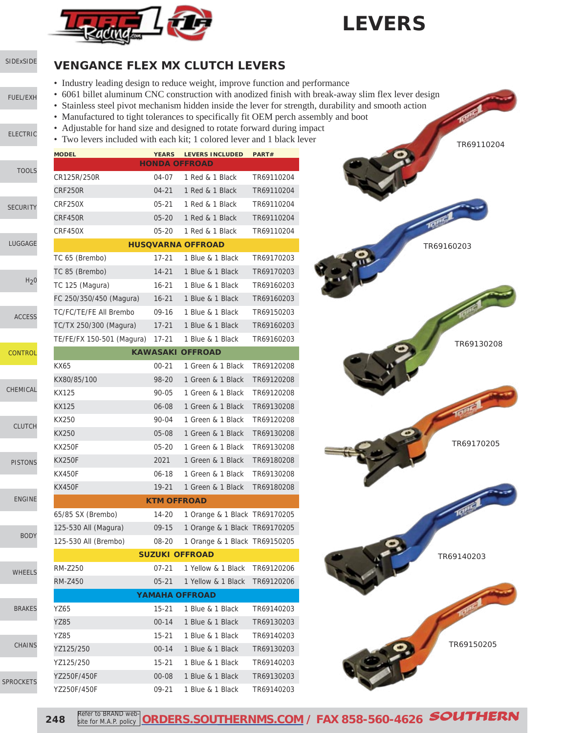

### **LEVERS**

### [SIDExSIDE](http://www.southernms.com/wp-content/uploads/2015/08/01_UTV.pdf)

[FUEL/EXH](http://www.southernms.com/wp-content/uploads/2015/08/02_fuel_exh.pdf)

[ELECTRIC](http://www.southernms.com/wp-content/uploads/2015/08/03_electrical.pdf)

**CHEMICA** 

SPROCKET

**VENGANCE FLEX MX CLUTCH LEVERS**

- Industry leading design to reduce weight, improve function and performance
- 6061 billet aluminum CNC construction with anodized finish with break-away slim flex lever design
- Stainless steel pivot mechanism hidden inside the lever for strength, durability and smooth action
- Manufactured to tight tolerances to specifically fit OEM perch assembly and boot
- Adjustable for hand size and designed to rotate forward during impact
- Two levers included with each kit; 1 colored lever and 1 black lever

|                  | <b>MODEL</b>              |                    | YEARS LEVERS INCLUDED               | PART#      |
|------------------|---------------------------|--------------------|-------------------------------------|------------|
| <b>TOOLS</b>     |                           |                    | <b>HONDA OFFROAD</b>                |            |
|                  | CR125R/250R               | 04-07              | 1 Red & 1 Black                     | TR69110204 |
|                  | <b>CRF250R</b>            | 04-21              | 1 Red & 1 Black                     | TR69110204 |
| <b>SECURITY</b>  | CRF250X                   | $05 - 21$          | 1 Red & 1 Black                     | TR69110204 |
|                  | CRF450R                   | $05 - 20$          | 1 Red & 1 Black                     | TR69110204 |
|                  | CRF450X                   | $05 - 20$          | 1 Red & 1 Black                     | TR69110204 |
| LUGGAGE          |                           |                    | <b>HUSQVARNA OFFROAD</b>            |            |
|                  | TC 65 (Brembo)            | $17 - 21$          | 1 Blue & 1 Black                    | TR69170203 |
|                  | TC 85 (Brembo)            | $14 - 21$          | 1 Blue & 1 Black                    | TR69170203 |
| H <sub>2</sub> 0 | TC 125 (Magura)           | $16 - 21$          | 1 Blue & 1 Black                    | TR69160203 |
|                  | FC 250/350/450 (Magura)   | $16 - 21$          | 1 Blue & 1 Black                    | TR69160203 |
| <b>ACCESS</b>    | TC/FC/TE/FE All Brembo    | 09-16              | 1 Blue & 1 Black                    | TR69150203 |
|                  | TC/TX 250/300 (Magura)    | $17 - 21$          | 1 Blue & 1 Black                    | TR69160203 |
|                  | TE/FE/FX 150-501 (Magura) | $17 - 21$          | 1 Blue & 1 Black                    | TR69160203 |
| <b>CONTROL</b>   |                           |                    | <b>KAWASAKI OFFROAD</b>             |            |
|                  | KX65                      | $00 - 21$          | 1 Green & 1 Black                   | TR69120208 |
|                  | KX80/85/100               | 98-20              | 1 Green & 1 Black                   | TR69120208 |
| CHEMICAL         | KX125                     | 90-05              | 1 Green & 1 Black                   | TR69120208 |
|                  | KX125                     | 06-08              | 1 Green & 1 Black                   | TR69130208 |
|                  | KX250                     | 90-04              | 1 Green & 1 Black                   | TR69120208 |
| <b>CLUTCH</b>    | KX250                     | $05-08$            | 1 Green & 1 Black                   | TR69130208 |
|                  | <b>KX250F</b>             | $05 - 20$          | 1 Green & 1 Black                   | TR69130208 |
| <b>PISTONS</b>   | <b>KX250F</b>             | 2021               | 1 Green & 1 Black                   | TR69180208 |
|                  | <b>KX450F</b>             | $06 - 18$          | 1 Green & 1 Black                   | TR69130208 |
|                  | <b>KX450F</b>             | $19 - 21$          | 1 Green & 1 Black                   | TR69180208 |
| <b>ENGINE</b>    |                           | <b>KTM OFFROAD</b> |                                     |            |
|                  | 65/85 SX (Brembo)         | 14-20              | 1 Orange & 1 Black TR69170205       |            |
|                  | 125-530 All (Magura)      | $09-15$            | 1 Orange & 1 Black TR69170205       |            |
| <b>BODY</b>      | 125-530 All (Brembo)      | 08-20              | 1 Orange & 1 Black TR69150205       |            |
|                  |                           |                    | <b>SUZUKI OFFROAD</b>               |            |
|                  | <b>RM-Z250</b>            |                    | 07-21 1 Yellow & 1 Black TR69120206 |            |
| WHEELS           | <b>RM-Z450</b>            | $05 - 21$          | 1 Yellow & 1 Black                  | TR69120206 |
|                  |                           |                    | <b>YAMAHA OFFROAD</b>               |            |
| <b>BRAKES</b>    | YZ65                      | 15-21              | 1 Blue & 1 Black                    | TR69140203 |
|                  | YZ85                      | $00 - 14$          | 1 Blue & 1 Black                    | TR69130203 |
|                  | YZ85                      | 15-21              | 1 Blue & 1 Black                    | TR69140203 |
| <b>CHAINS</b>    | YZ125/250                 | $00 - 14$          | 1 Blue & 1 Black                    | TR69130203 |
|                  | YZ125/250                 | 15-21              | 1 Blue & 1 Black                    | TR69140203 |
|                  | YZ250F/450F               | 00-08              | 1 Blue & 1 Black                    | TR69130203 |
| <b>PROCKETS</b>  | YZ250F/450F               | 09-21              | 1 Blue & 1 Black                    | TR69140203 |



**248** Refer to BRAND web Refer to BRAND web-**[ORDERS.SOUTHERNMS.COM](http://orders.southernms.com) / FAX 858-560-4626** SOUTHERN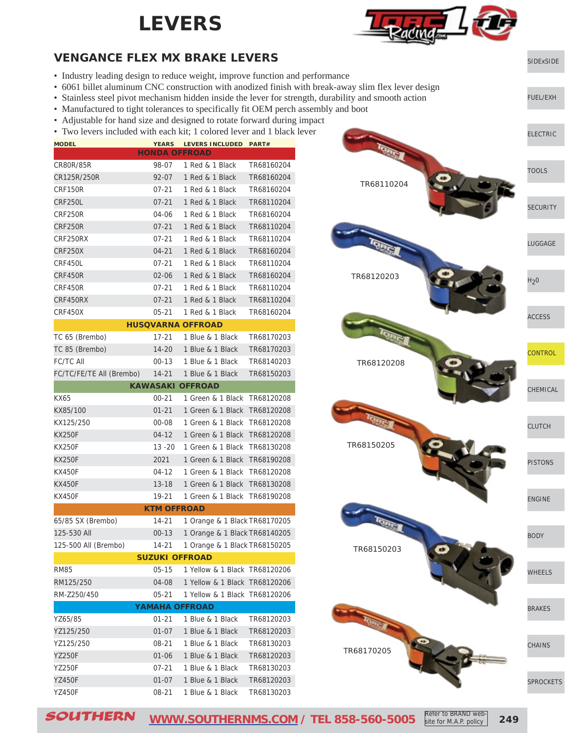### **LEVERS**



[SIDExSIDE](http://www.southernms.com/wp-content/uploads/2015/08/01_UTV.pdf)

[FUEL/EXH](http://www.southernms.com/wp-content/uploads/2015/08/02_fuel_exh.pdf)

#### **VENGANCE FLEX MX BRAKE LEVERS**

- Industry leading design to reduce weight, improve function and performance
- 6061 billet aluminum CNC construction with anodized finish with break-away slim flex lever design
- Stainless steel pivot mechanism hidden inside the lever for strength, durability and smooth action
- Manufactured to tight tolerances to specifically fit OEM perch assembly and boot
- Adjustable for hand size and designed to rotate forward during impact
- Two levers included with each kit: 1 colored lever and 1 black lever

| Two levels included with each kit, I colored level and I black |                       |                               |            |
|----------------------------------------------------------------|-----------------------|-------------------------------|------------|
| <b>MODEL</b>                                                   | <b>HONDA OFFROAD</b>  | YEARS LEVERS INCLUDED PART#   |            |
| CR80R/85R                                                      | 98-07                 | 1 Red & 1 Black               | TR68160204 |
| CR125R/250R                                                    | 92-07                 | 1 Red & 1 Black               | TR68160204 |
| <b>CRF150R</b>                                                 | 07-21                 | 1 Red & 1 Black               | TR68160204 |
| CRF250L                                                        | $07 - 21$             | 1 Red & 1 Black               | TR68110204 |
| CRF250R                                                        | 04-06                 | 1 Red & 1 Black               | TR68160204 |
| CRF250R                                                        | $07 - 21$             | 1 Red & 1 Black               | TR68110204 |
| CRF250RX                                                       | $07 - 21$             | 1 Red & 1 Black               | TR68110204 |
| <b>CRF250X</b>                                                 | 04-21                 | 1 Red & 1 Black               | TR68160204 |
| CRF450L                                                        | $07 - 21$             | 1 Red & 1 Black               | TR68110204 |
| CRF450R                                                        | $02 - 06$             | 1 Red & 1 Black               | TR68160204 |
| CRF450R                                                        | $07 - 21$             | 1 Red & 1 Black               | TR68110204 |
| CRF450RX                                                       | $07 - 21$             | 1 Red & 1 Black               | TR68110204 |
| CRF450X                                                        | $05 - 21$             | 1 Red & 1 Black               | TR68160204 |
|                                                                |                       | <b>HUSQVARNA OFFROAD</b>      |            |
| TC 65 (Brembo)                                                 | $17 - 21$             | 1 Blue & 1 Black              | TR68170203 |
| TC 85 (Brembo)                                                 | 14-20                 | 1 Blue & 1 Black              | TR68170203 |
| FC/TC All                                                      | $00 - 13$             | 1 Blue & 1 Black              | TR68140203 |
| FC/TC/FE/TE All (Brembo)                                       | $14 - 21$             | 1 Blue & 1 Black              | TR68150203 |
|                                                                |                       | <b>KAWASAKI OFFROAD</b>       |            |
| KX65                                                           | $00 - 21$             | 1 Green & 1 Black             | TR68120208 |
| KX85/100                                                       | $01 - 21$             | 1 Green & 1 Black             | TR68120208 |
| KX125/250                                                      | $00 - 08$             | 1 Green & 1 Black TR68120208  |            |
| <b>KX250F</b>                                                  | $04 - 12$             | 1 Green & 1 Black TR68120208  |            |
| <b>KX250F</b>                                                  | $13 - 20$             | 1 Green & 1 Black             | TR68130208 |
| <b>KX250F</b>                                                  | 2021                  | 1 Green & 1 Black             | TR68190208 |
| <b>KX450F</b>                                                  | 04-12                 | 1 Green & 1 Black             | TR68120208 |
| <b>KX450F</b>                                                  | 13-18                 | 1 Green & 1 Black             | TR68130208 |
| <b>KX450F</b>                                                  | 19-21                 | 1 Green & 1 Black             | TR68190208 |
|                                                                | <b>KTM OFFROAD</b>    |                               |            |
| 65/85 SX (Brembo)                                              | 14-21                 | 1 Orange & 1 Black TR68170205 |            |
| 125-530 All                                                    | 00-13                 | 1 Orange & 1 Black TR68140205 |            |
| 125-500 All (Brembo)                                           | 14-21                 | 1 Orange & 1 Black TR68150205 |            |
|                                                                | <b>SUZUKI OFFROAD</b> |                               |            |
| RM85                                                           | $05-15$               | 1 Yellow & 1 Black TR68120206 |            |
| RM125/250                                                      | 04-08                 | 1 Yellow & 1 Black TR68120206 |            |
| RM-Z250/450                                                    | 05-21                 | 1 Yellow & 1 Black TR68120206 |            |
|                                                                | <b>YAMAHA OFFROAD</b> |                               |            |
| YZ65/85                                                        | $01 - 21$             | 1 Blue & 1 Black              | TR68120203 |
| YZ125/250                                                      | 01-07                 | 1 Blue & 1 Black              | TR68120203 |
| YZ125/250                                                      | $08 - 21$             | 1 Blue & 1 Black              | TR68130203 |
| <b>YZ250F</b>                                                  | $01 - 06$             | 1 Blue & 1 Black              | TR68120203 |
| YZ250F                                                         | 07-21                 | 1 Blue & 1 Black              | TR68130203 |
| YZ450F                                                         | 01-07                 | 1 Blue & 1 Black              | TR68120203 |
| <b>YZ450F</b>                                                  | 08-21                 | 1 Blue & 1 Black              | TR68130203 |



SOUTHERN **[WWW.SOUTHERNMS.COM](http://m.southernms.com) / TEL 858-560-5005 249** Refer to BRAND website for M.A.P. policy